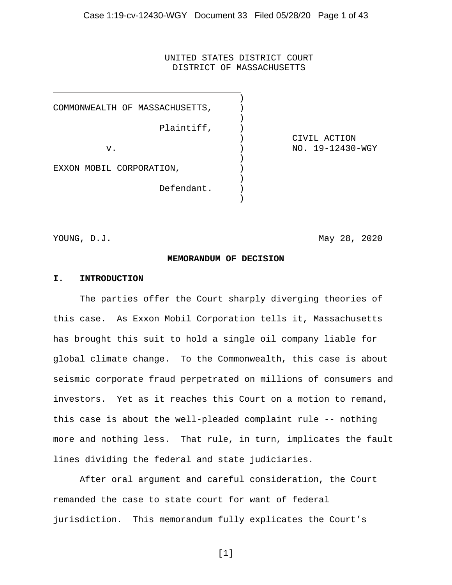#### UNITED STATES DISTRICT COURT DISTRICT OF MASSACHUSETTS

)<br>)

)

)

)

)

COMMONWEALTH OF MASSACHUSETTS, ) Plaintiff,  $)$ v. (a) (a)  $NQ = NQ - NQY$ EXXON MOBIL CORPORATION, Defendant. )

) CIVIL ACTION

YOUNG, D.J. May 28, 2020

#### **MEMORANDUM OF DECISION**

#### **I. INTRODUCTION**

The parties offer the Court sharply diverging theories of this case. As Exxon Mobil Corporation tells it, Massachusetts has brought this suit to hold a single oil company liable for global climate change. To the Commonwealth, this case is about seismic corporate fraud perpetrated on millions of consumers and investors. Yet as it reaches this Court on a motion to remand, this case is about the well-pleaded complaint rule -- nothing more and nothing less. That rule, in turn, implicates the fault lines dividing the federal and state judiciaries.

After oral argument and careful consideration, the Court remanded the case to state court for want of federal jurisdiction. This memorandum fully explicates the Court's

[1]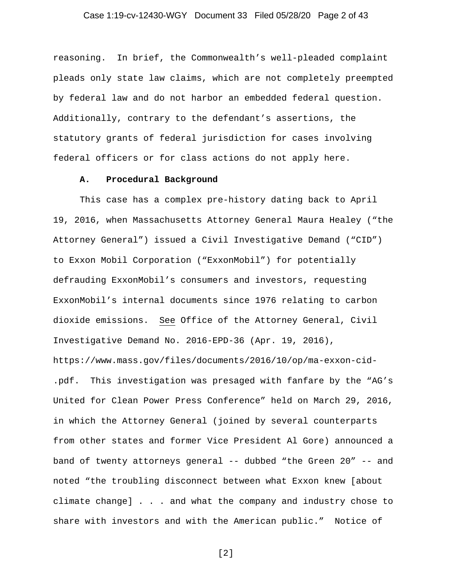# Case 1:19-cv-12430-WGY Document 33 Filed 05/28/20 Page 2 of 43

reasoning. In brief, the Commonwealth's well-pleaded complaint pleads only state law claims, which are not completely preempted by federal law and do not harbor an embedded federal question. Additionally, contrary to the defendant's assertions, the statutory grants of federal jurisdiction for cases involving federal officers or for class actions do not apply here.

#### **A. Procedural Background**

This case has a complex pre-history dating back to April 19, 2016, when Massachusetts Attorney General Maura Healey ("the Attorney General") issued a Civil Investigative Demand ("CID") to Exxon Mobil Corporation ("ExxonMobil") for potentially defrauding ExxonMobil's consumers and investors, requesting ExxonMobil's internal documents since 1976 relating to carbon dioxide emissions. See Office of the Attorney General, Civil Investigative Demand No. 2016-EPD-36 (Apr. 19, 2016), [https://www.mass.gov/files/documents/2016/10/op/ma-exxon-cid-](https://www.mass.gov/files/documents/2016/10/op/ma-exxon-cid-.pdf) [.pdf.](https://www.mass.gov/files/documents/2016/10/op/ma-exxon-cid-.pdf) This investigation was presaged with fanfare by the "AG's United for Clean Power Press Conference" held on March 29, 2016, in which the Attorney General (joined by several counterparts from other states and former Vice President Al Gore) announced a band of twenty attorneys general -- dubbed "the Green 20" -- and noted "the troubling disconnect between what Exxon knew [about climate change] . . . and what the company and industry chose to share with investors and with the American public." Notice of

[2]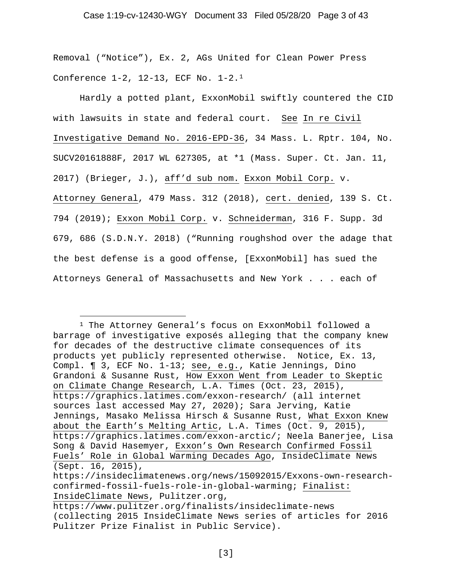# Case 1:19-cv-12430-WGY Document 33 Filed 05/28/20 Page 3 of 43

Removal ("Notice"), Ex. 2, AGs United for Clean Power Press Conference 1-2, 12-13, ECF No. 1-2.[1](#page-2-0)

Hardly a potted plant, ExxonMobil swiftly countered the CID with lawsuits in state and federal court. See In re Civil Investigative Demand No. 2016-EPD-36, 34 Mass. L. Rptr. 104, No. SUCV20161888F, 2017 WL 627305, at \*1 (Mass. Super. Ct. Jan. 11, 2017) (Brieger, J.), aff'd sub nom. Exxon Mobil Corp. v. Attorney General, 479 Mass. 312 (2018), cert. denied, 139 S. Ct. 794 (2019); Exxon Mobil Corp. v. Schneiderman, 316 F. Supp. 3d 679, 686 (S.D.N.Y. 2018) ("Running roughshod over the adage that the best defense is a good offense, [ExxonMobil] has sued the Attorneys General of Massachusetts and New York . . . each of

<span id="page-2-0"></span><sup>1</sup> The Attorney General's focus on ExxonMobil followed a barrage of investigative exposés alleging that the company knew for decades of the destructive climate consequences of its products yet publicly represented otherwise. Notice, Ex. 13, Compl. ¶ 3, ECF No. 1-13; see, e.g., Katie Jennings, Dino Grandoni & Susanne Rust, How Exxon Went from Leader to Skeptic on Climate Change Research, L.A. Times (Oct. 23, 2015), <https://graphics.latimes.com/exxon-research/> (all internet sources last accessed May 27, 2020); Sara Jerving, Katie Jennings, Masako Melissa Hirsch & Susanne Rust, What Exxon Knew about the Earth's Melting Artic, L.A. Times (Oct. 9, 2015), [https://graphics.latimes.com/exxon-arctic/;](https://graphics.latimes.com/exxon-arctic/) Neela Banerjee, Lisa Song & David Hasemyer, Exxon's Own Research Confirmed Fossil Fuels' Role in Global Warming Decades Ago, InsideClimate News (Sept. 16, 2015), [https://insideclimatenews.org/news/15092015/Exxons-own-research](https://insideclimatenews.org/news/15092015/Exxons-own-research-confirmed-fossil-fuels-role-in-global-warming)[confirmed-fossil-fuels-role-in-global-warming;](https://insideclimatenews.org/news/15092015/Exxons-own-research-confirmed-fossil-fuels-role-in-global-warming) Finalist: InsideClimate News, Pulitzer.org,

<https://www.pulitzer.org/finalists/insideclimate-news> (collecting 2015 InsideClimate News series of articles for 2016 Pulitzer Prize Finalist in Public Service).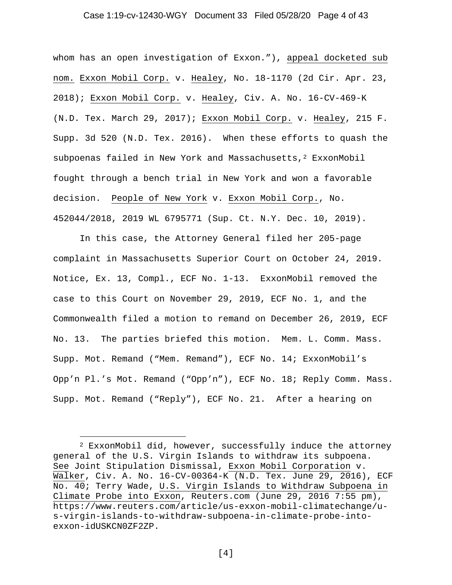# Case 1:19-cv-12430-WGY Document 33 Filed 05/28/20 Page 4 of 43

whom has an open investigation of Exxon."), appeal docketed sub nom. Exxon Mobil Corp. v. Healey, No. 18-1170 (2d Cir. Apr. 23, 2018); Exxon Mobil Corp. v. Healey, Civ. A. No. 16-CV-469-K (N.D. Tex. March 29, 2017); Exxon Mobil Corp. v. Healey, 215 F. Supp. 3d 520 (N.D. Tex. 2016). When these efforts to quash the subpoenas failed in New York and Massachusetts,<sup>[2](#page-3-0)</sup> ExxonMobil fought through a bench trial in New York and won a favorable decision. People of New York v. Exxon Mobil Corp., No. 452044/2018, 2019 WL 6795771 (Sup. Ct. N.Y. Dec. 10, 2019).

In this case, the Attorney General filed her 205-page complaint in Massachusetts Superior Court on October 24, 2019. Notice, Ex. 13, Compl., ECF No. 1-13. ExxonMobil removed the case to this Court on November 29, 2019, ECF No. 1, and the Commonwealth filed a motion to remand on December 26, 2019, ECF No. 13. The parties briefed this motion. Mem. L. Comm. Mass. Supp. Mot. Remand ("Mem. Remand"), ECF No. 14; ExxonMobil's Opp'n Pl.'s Mot. Remand ("Opp'n"), ECF No. 18; Reply Comm. Mass. Supp. Mot. Remand ("Reply"), ECF No. 21. After a hearing on

[4]

<span id="page-3-0"></span><sup>2</sup> ExxonMobil did, however, successfully induce the attorney general of the U.S. Virgin Islands to withdraw its subpoena. See Joint Stipulation Dismissal, Exxon Mobil Corporation v. Walker, Civ. A. No. 16-CV-00364-K (N.D. Tex. June 29, 2016), ECF No. 40; Terry Wade, U.S. Virgin Islands to Withdraw Subpoena in Climate Probe into Exxon, Reuters.com (June 29, 2016 7:55 pm), [https://www.reuters.com/article/us-exxon-mobil-climatechange/u](https://www.reuters.com/article/us-exxon-mobil-climatechange/u-s-virgin-islands-to-withdraw-subpoena-in-climate-probe-into-exxon-idUSKCN0ZF2ZP)[s-virgin-islands-to-withdraw-subpoena-in-climate-probe-into](https://www.reuters.com/article/us-exxon-mobil-climatechange/u-s-virgin-islands-to-withdraw-subpoena-in-climate-probe-into-exxon-idUSKCN0ZF2ZP)[exxon-idUSKCN0ZF2ZP.](https://www.reuters.com/article/us-exxon-mobil-climatechange/u-s-virgin-islands-to-withdraw-subpoena-in-climate-probe-into-exxon-idUSKCN0ZF2ZP)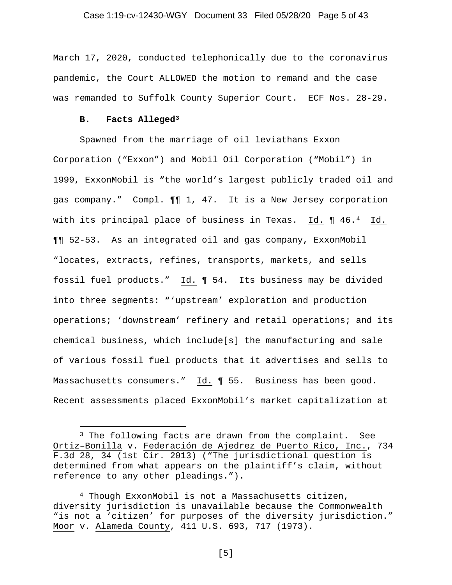# Case 1:19-cv-12430-WGY Document 33 Filed 05/28/20 Page 5 of 43

March 17, 2020, conducted telephonically due to the coronavirus pandemic, the Court ALLOWED the motion to remand and the case was remanded to Suffolk County Superior Court. ECF Nos. 28-29.

#### **B. Facts Alleged[3](#page-4-0)**

Spawned from the marriage of oil leviathans Exxon Corporation ("Exxon") and Mobil Oil Corporation ("Mobil") in 1999, ExxonMobil is "the world's largest publicly traded oil and gas company." Compl. ¶¶ 1, 47. It is a New Jersey corporation with its principal place of business in Texas. Id. ¶ 46.[4](#page-4-1) Id. ¶¶ 52-53. As an integrated oil and gas company, ExxonMobil "locates, extracts, refines, transports, markets, and sells fossil fuel products." Id. ¶ 54. Its business may be divided into three segments: "'upstream' exploration and production operations; 'downstream' refinery and retail operations; and its chemical business, which include[s] the manufacturing and sale of various fossil fuel products that it advertises and sells to Massachusetts consumers." Id. ¶ 55. Business has been good. Recent assessments placed ExxonMobil's market capitalization at

[5]

<span id="page-4-0"></span><sup>&</sup>lt;sup>3</sup> The following facts are drawn from the complaint. See Ortiz–Bonilla v. Federación de Ajedrez de Puerto Rico, Inc., 734 F.3d 28, 34 (1st Cir. 2013) ("The jurisdictional question is determined from what appears on the plaintiff's claim, without reference to any other pleadings.").

<span id="page-4-1"></span><sup>4</sup> Though ExxonMobil is not a Massachusetts citizen, diversity jurisdiction is unavailable because the Commonwealth "is not a 'citizen' for purposes of the diversity jurisdiction." Moor v. Alameda County, 411 U.S. 693, 717 (1973).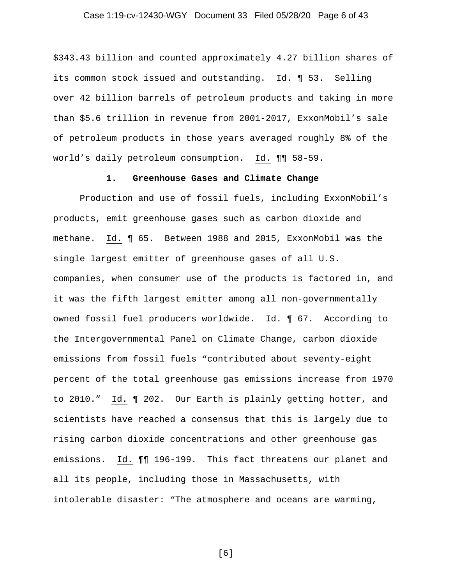# Case 1:19-cv-12430-WGY Document 33 Filed 05/28/20 Page 6 of 43

\$343.43 billion and counted approximately 4.27 billion shares of its common stock issued and outstanding. Id. ¶ 53. Selling over 42 billion barrels of petroleum products and taking in more than \$5.6 trillion in revenue from 2001-2017, ExxonMobil's sale of petroleum products in those years averaged roughly 8% of the world's daily petroleum consumption. Id. ¶¶ 58-59.

# **1. Greenhouse Gases and Climate Change**

Production and use of fossil fuels, including ExxonMobil's products, emit greenhouse gases such as carbon dioxide and methane. Id. ¶ 65. Between 1988 and 2015, ExxonMobil was the single largest emitter of greenhouse gases of all U.S. companies, when consumer use of the products is factored in, and it was the fifth largest emitter among all non-governmentally owned fossil fuel producers worldwide. Id. ¶ 67. According to the Intergovernmental Panel on Climate Change, carbon dioxide emissions from fossil fuels "contributed about seventy-eight percent of the total greenhouse gas emissions increase from 1970 to 2010." Id. ¶ 202. Our Earth is plainly getting hotter, and scientists have reached a consensus that this is largely due to rising carbon dioxide concentrations and other greenhouse gas emissions. Id. ¶¶ 196-199. This fact threatens our planet and all its people, including those in Massachusetts, with intolerable disaster: "The atmosphere and oceans are warming,

[6]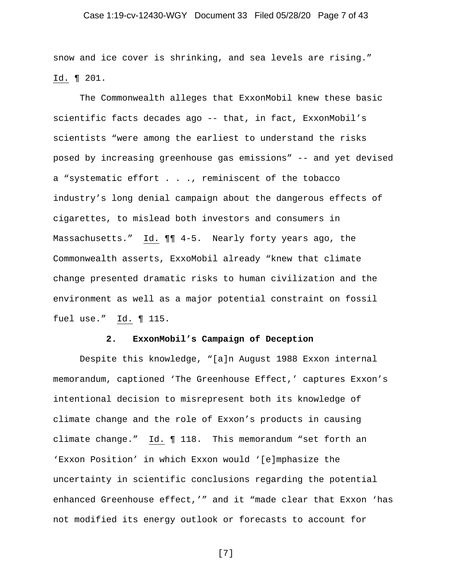# Case 1:19-cv-12430-WGY Document 33 Filed 05/28/20 Page 7 of 43

snow and ice cover is shrinking, and sea levels are rising." Id. ¶ 201.

The Commonwealth alleges that ExxonMobil knew these basic scientific facts decades ago -- that, in fact, ExxonMobil's scientists "were among the earliest to understand the risks posed by increasing greenhouse gas emissions" -- and yet devised a "systematic effort . . ., reminiscent of the tobacco industry's long denial campaign about the dangerous effects of cigarettes, to mislead both investors and consumers in Massachusetts." Id. ¶¶ 4-5. Nearly forty years ago, the Commonwealth asserts, ExxoMobil already "knew that climate change presented dramatic risks to human civilization and the environment as well as a major potential constraint on fossil fuel use." Id. ¶ 115.

# **2. ExxonMobil's Campaign of Deception**

Despite this knowledge, "[a]n August 1988 Exxon internal memorandum, captioned 'The Greenhouse Effect,' captures Exxon's intentional decision to misrepresent both its knowledge of climate change and the role of Exxon's products in causing climate change." Id. ¶ 118. This memorandum "set forth an 'Exxon Position' in which Exxon would '[e]mphasize the uncertainty in scientific conclusions regarding the potential enhanced Greenhouse effect,'" and it "made clear that Exxon 'has not modified its energy outlook or forecasts to account for

[7]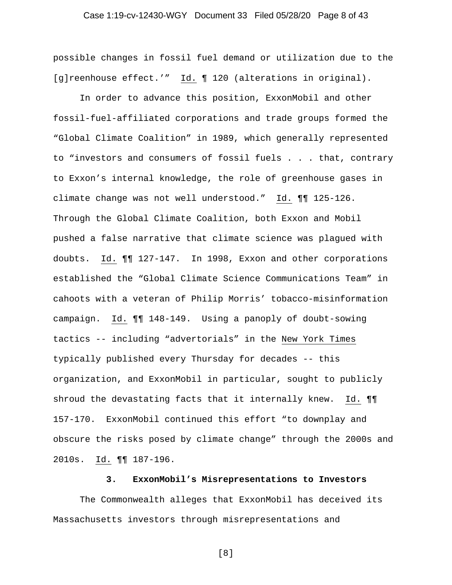# Case 1:19-cv-12430-WGY Document 33 Filed 05/28/20 Page 8 of 43

possible changes in fossil fuel demand or utilization due to the [g]reenhouse effect.'" Id. ¶ 120 (alterations in original).

In order to advance this position, ExxonMobil and other fossil-fuel-affiliated corporations and trade groups formed the "Global Climate Coalition" in 1989, which generally represented to "investors and consumers of fossil fuels . . . that, contrary to Exxon's internal knowledge, the role of greenhouse gases in climate change was not well understood." Id. ¶¶ 125-126. Through the Global Climate Coalition, both Exxon and Mobil pushed a false narrative that climate science was plagued with doubts. Id. ¶¶ 127-147. In 1998, Exxon and other corporations established the "Global Climate Science Communications Team" in cahoots with a veteran of Philip Morris' tobacco-misinformation campaign. Id. ¶¶ 148-149. Using a panoply of doubt-sowing tactics -- including "advertorials" in the New York Times typically published every Thursday for decades -- this organization, and ExxonMobil in particular, sought to publicly shroud the devastating facts that it internally knew. Id. ¶¶ 157-170. ExxonMobil continued this effort "to downplay and obscure the risks posed by climate change" through the 2000s and 2010s. Id. ¶¶ 187-196.

#### **3. ExxonMobil's Misrepresentations to Investors**

The Commonwealth alleges that ExxonMobil has deceived its Massachusetts investors through misrepresentations and

[8]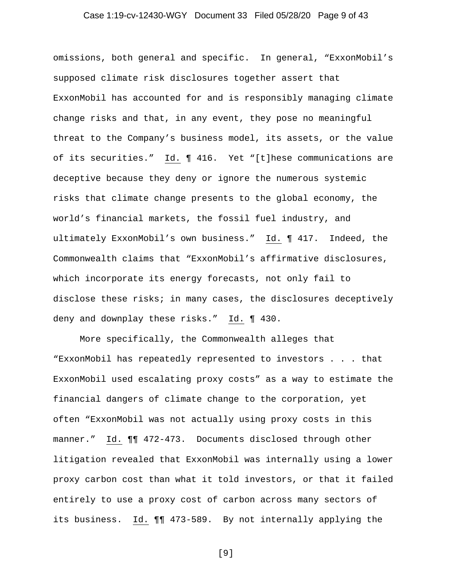# Case 1:19-cv-12430-WGY Document 33 Filed 05/28/20 Page 9 of 43

omissions, both general and specific. In general, "ExxonMobil's supposed climate risk disclosures together assert that ExxonMobil has accounted for and is responsibly managing climate change risks and that, in any event, they pose no meaningful threat to the Company's business model, its assets, or the value of its securities." Id. ¶ 416. Yet "[t]hese communications are deceptive because they deny or ignore the numerous systemic risks that climate change presents to the global economy, the world's financial markets, the fossil fuel industry, and ultimately ExxonMobil's own business." Id. ¶ 417. Indeed, the Commonwealth claims that "ExxonMobil's affirmative disclosures, which incorporate its energy forecasts, not only fail to disclose these risks; in many cases, the disclosures deceptively deny and downplay these risks." Id. ¶ 430.

More specifically, the Commonwealth alleges that "ExxonMobil has repeatedly represented to investors . . . that ExxonMobil used escalating proxy costs" as a way to estimate the financial dangers of climate change to the corporation, yet often "ExxonMobil was not actually using proxy costs in this manner." Id. ¶¶ 472-473. Documents disclosed through other litigation revealed that ExxonMobil was internally using a lower proxy carbon cost than what it told investors, or that it failed entirely to use a proxy cost of carbon across many sectors of its business. Id. ¶¶ 473-589. By not internally applying the

[9]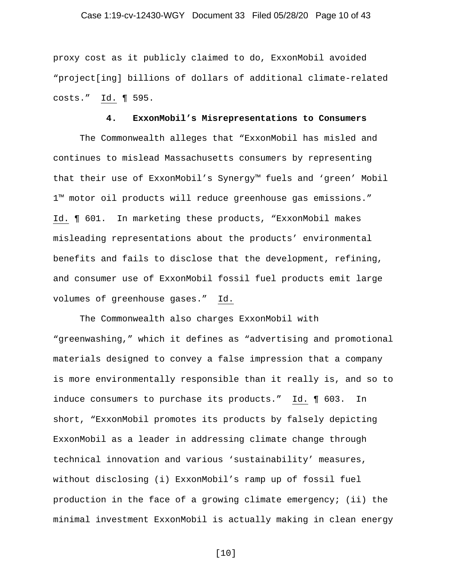# Case 1:19-cv-12430-WGY Document 33 Filed 05/28/20 Page 10 of 43

proxy cost as it publicly claimed to do, ExxonMobil avoided "project[ing] billions of dollars of additional climate-related costs." Id. ¶ 595.

#### **4. ExxonMobil's Misrepresentations to Consumers**

The Commonwealth alleges that "ExxonMobil has misled and continues to mislead Massachusetts consumers by representing that their use of ExxonMobil's Synergy™ fuels and 'green' Mobil 1™ motor oil products will reduce greenhouse gas emissions." Id. ¶ 601. In marketing these products, "ExxonMobil makes misleading representations about the products' environmental benefits and fails to disclose that the development, refining, and consumer use of ExxonMobil fossil fuel products emit large volumes of greenhouse gases." Id.

The Commonwealth also charges ExxonMobil with "greenwashing," which it defines as "advertising and promotional materials designed to convey a false impression that a company is more environmentally responsible than it really is, and so to induce consumers to purchase its products." Id. ¶ 603. In short, "ExxonMobil promotes its products by falsely depicting ExxonMobil as a leader in addressing climate change through technical innovation and various 'sustainability' measures, without disclosing (i) ExxonMobil's ramp up of fossil fuel production in the face of a growing climate emergency; (ii) the minimal investment ExxonMobil is actually making in clean energy

[10]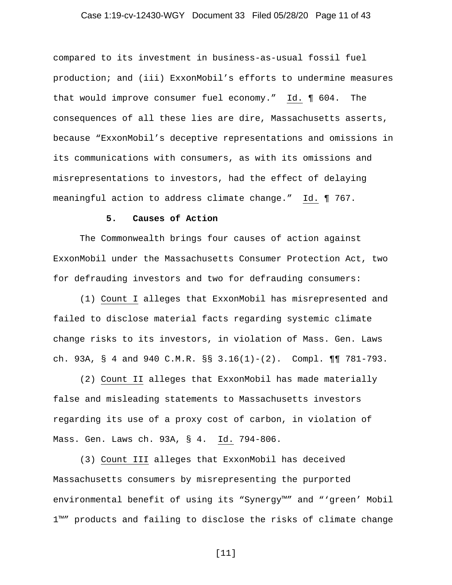# Case 1:19-cv-12430-WGY Document 33 Filed 05/28/20 Page 11 of 43

compared to its investment in business-as-usual fossil fuel production; and (iii) ExxonMobil's efforts to undermine measures that would improve consumer fuel economy." Id. ¶ 604. The consequences of all these lies are dire, Massachusetts asserts, because "ExxonMobil's deceptive representations and omissions in its communications with consumers, as with its omissions and misrepresentations to investors, had the effect of delaying meaningful action to address climate change." Id. ¶ 767.

# **5. Causes of Action**

The Commonwealth brings four causes of action against ExxonMobil under the Massachusetts Consumer Protection Act, two for defrauding investors and two for defrauding consumers:

(1) Count I alleges that ExxonMobil has misrepresented and failed to disclose material facts regarding systemic climate change risks to its investors, in violation of Mass. Gen. Laws ch. 93A, § 4 and 940 C.M.R. §§ 3.16(1)-(2). Compl. ¶¶ 781-793.

(2) Count II alleges that ExxonMobil has made materially false and misleading statements to Massachusetts investors regarding its use of a proxy cost of carbon, in violation of Mass. Gen. Laws ch. 93A, § 4. Id. 794-806.

(3) Count III alleges that ExxonMobil has deceived Massachusetts consumers by misrepresenting the purported environmental benefit of using its "Synergy™" and "'green' Mobil 1™" products and failing to disclose the risks of climate change

[11]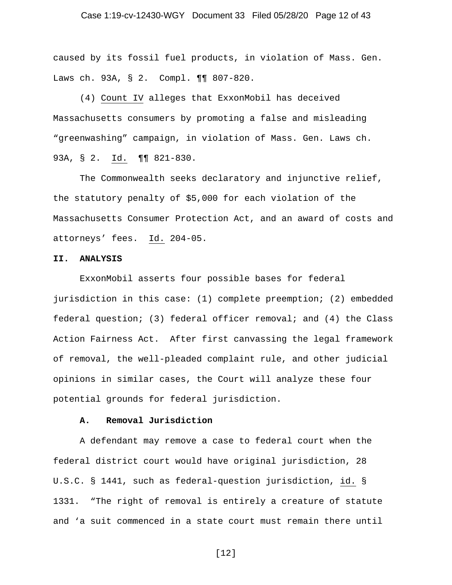# Case 1:19-cv-12430-WGY Document 33 Filed 05/28/20 Page 12 of 43

caused by its fossil fuel products, in violation of Mass. Gen. Laws ch. 93A, § 2. Compl. ¶¶ 807-820.

(4) Count IV alleges that ExxonMobil has deceived Massachusetts consumers by promoting a false and misleading "greenwashing" campaign, in violation of Mass. Gen. Laws ch. 93A, § 2. Id. ¶¶ 821-830.

The Commonwealth seeks declaratory and injunctive relief, the statutory penalty of \$5,000 for each violation of the Massachusetts Consumer Protection Act, and an award of costs and attorneys' fees. Id. 204-05.

#### **II. ANALYSIS**

ExxonMobil asserts four possible bases for federal jurisdiction in this case: (1) complete preemption; (2) embedded federal question; (3) federal officer removal; and  $(4)$  the Class Action Fairness Act. After first canvassing the legal framework of removal, the well-pleaded complaint rule, and other judicial opinions in similar cases, the Court will analyze these four potential grounds for federal jurisdiction.

#### **A. Removal Jurisdiction**

A defendant may remove a case to federal court when the federal district court would have original jurisdiction, 28 U.S.C. § 1441, such as federal-question jurisdiction, id. § 1331. "The right of removal is entirely a creature of statute and 'a suit commenced in a state court must remain there until

[12]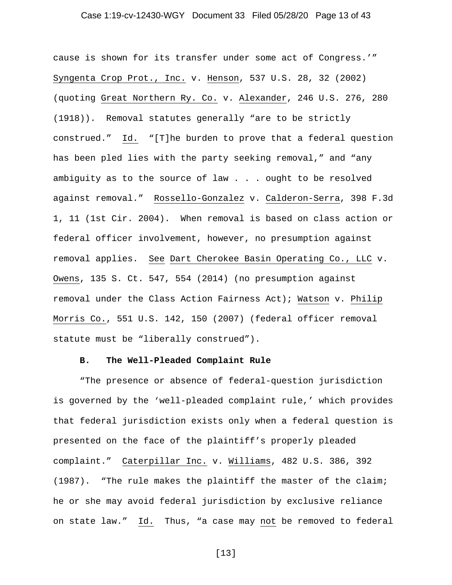# Case 1:19-cv-12430-WGY Document 33 Filed 05/28/20 Page 13 of 43

cause is shown for its transfer under some act of Congress.'" Syngenta Crop Prot., Inc. v. Henson, 537 U.S. 28, 32 (2002) (quoting Great Northern Ry. Co. v. Alexander, 246 U.S. 276, 280 (1918)). Removal statutes generally "are to be strictly construed." Id. "[T]he burden to prove that a federal question has been pled lies with the party seeking removal," and "any ambiguity as to the source of law . . . ought to be resolved against removal." Rossello-Gonzalez v. Calderon-Serra, 398 F.3d 1, 11 (1st Cir. 2004). When removal is based on class action or federal officer involvement, however, no presumption against removal applies. See Dart Cherokee Basin Operating Co., LLC v. Owens, 135 S. Ct. 547, 554 (2014) (no presumption against removal under the Class Action Fairness Act); Watson v. Philip Morris Co., 551 U.S. 142, 150 (2007) (federal officer removal statute must be "liberally construed").

#### **B. The Well-Pleaded Complaint Rule**

"The presence or absence of federal-question jurisdiction is governed by the 'well-pleaded complaint rule,' which provides that federal jurisdiction exists only when a federal question is presented on the face of the plaintiff's properly pleaded complaint." Caterpillar Inc. v. Williams, 482 U.S. 386, 392 (1987). "The rule makes the plaintiff the master of the claim; he or she may avoid federal jurisdiction by exclusive reliance on state law." Id. Thus, "a case may not be removed to federal

[13]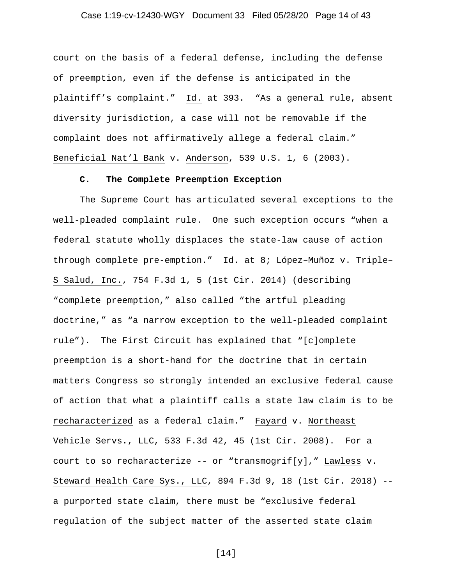# Case 1:19-cv-12430-WGY Document 33 Filed 05/28/20 Page 14 of 43

court on the basis of a federal defense, including the defense of preemption, even if the defense is anticipated in the plaintiff's complaint." Id. at 393. "As a general rule, absent diversity jurisdiction, a case will not be removable if the complaint does not affirmatively allege a federal claim." Beneficial Nat'l Bank v. Anderson, 539 U.S. 1, 6 (2003).

#### **C. The Complete Preemption Exception**

The Supreme Court has articulated several exceptions to the well-pleaded complaint rule. One such exception occurs "when a federal statute wholly displaces the state-law cause of action through complete pre-emption." Id. at 8; López–Muñoz v. Triple– S Salud, Inc., 754 F.3d 1, 5 (1st Cir. 2014) (describing "complete preemption," also called "the artful pleading doctrine," as "a narrow exception to the well-pleaded complaint rule"). The First Circuit has explained that "[c]omplete preemption is a short-hand for the doctrine that in certain matters Congress so strongly intended an exclusive federal cause of action that what a plaintiff calls a state law claim is to be recharacterized as a federal claim." Fayard v. Northeast Vehicle Servs., LLC, 533 F.3d 42, 45 (1st Cir. 2008). For a court to so recharacterize -- or "transmogrif[y]," Lawless  $v$ . Steward Health Care Sys., LLC, 894 F.3d 9, 18 (1st Cir. 2018) - a purported state claim, there must be "exclusive federal regulation of the subject matter of the asserted state claim

[14]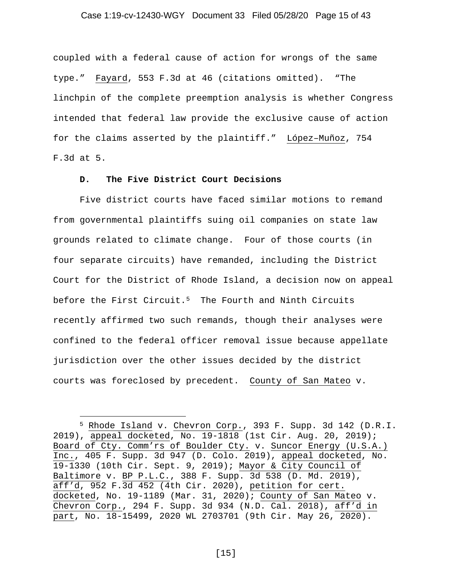#### Case 1:19-cv-12430-WGY Document 33 Filed 05/28/20 Page 15 of 43

coupled with a federal cause of action for wrongs of the same type." Fayard, 553 F.3d at 46 (citations omitted). "The linchpin of the complete preemption analysis is whether Congress intended that federal law provide the exclusive cause of action for the claims asserted by the plaintiff." López–Muñoz, 754 F.3d at 5.

# **D. The Five District Court Decisions**

Five district courts have faced similar motions to remand from governmental plaintiffs suing oil companies on state law grounds related to climate change. Four of those courts (in four separate circuits) have remanded, including the District Court for the District of Rhode Island, a decision now on appeal before the First Circuit.<sup>[5](#page-14-0)</sup> The Fourth and Ninth Circuits recently affirmed two such remands, though their analyses were confined to the federal officer removal issue because appellate jurisdiction over the other issues decided by the district courts was foreclosed by precedent. County of San Mateo v.

[15]

<span id="page-14-0"></span><sup>5</sup> Rhode Island v. Chevron Corp., 393 F. Supp. 3d 142 (D.R.I. 2019), appeal docketed, No. 19-1818 (1st Cir. Aug. 20, 2019); Board of Cty. Comm'rs of Boulder Cty. v. Suncor Energy (U.S.A.) Inc., 405 F. Supp. 3d 947 (D. Colo. 2019), appeal docketed, No. 19-1330 (10th Cir. Sept. 9, 2019); Mayor & City Council of Baltimore v. BP P.L.C., 388 F. Supp. 3d 538 (D. Md. 2019), aff'd, 952 F.3d 452 (4th Cir. 2020), petition for cert. docketed, No. 19-1189 (Mar. 31, 2020); County of San Mateo v. Chevron Corp., 294 F. Supp. 3d 934 (N.D. Cal. 2018), aff'd in part, No. 18-15499, 2020 WL 2703701 (9th Cir. May 26, 2020).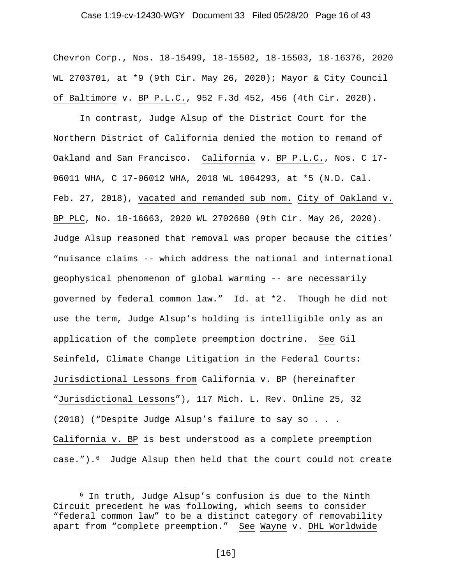# Case 1:19-cv-12430-WGY Document 33 Filed 05/28/20 Page 16 of 43

Chevron Corp., Nos. 18-15499, 18-15502, 18-15503, 18-16376, 2020 WL 2703701, at \*9 (9th Cir. May 26, 2020); Mayor & City Council of Baltimore v. BP P.L.C., 952 F.3d 452, 456 (4th Cir. 2020).

In contrast, Judge Alsup of the District Court for the Northern District of California denied the motion to remand of Oakland and San Francisco. California v. BP P.L.C., Nos. C 17- 06011 WHA, C 17-06012 WHA, 2018 WL 1064293, at \*5 (N.D. Cal. Feb. 27, 2018), vacated and remanded sub nom. City of Oakland v. BP PLC, No. 18-16663, 2020 WL 2702680 (9th Cir. May 26, 2020). Judge Alsup reasoned that removal was proper because the cities' "nuisance claims -- which address the national and international geophysical phenomenon of global warming -- are necessarily governed by federal common law." Id. at \*2. Though he did not use the term, Judge Alsup's holding is intelligible only as an application of the complete preemption doctrine. See Gil Seinfeld, Climate Change Litigation in the Federal Courts: Jurisdictional Lessons from California v. BP (hereinafter "Jurisdictional Lessons"), 117 Mich. L. Rev. Online 25, 32 (2018) ("Despite Judge Alsup's failure to say so . . . California v. BP is best understood as a complete preemption case.").[6](#page-15-0) Judge Alsup then held that the court could not create

<span id="page-15-0"></span><sup>6</sup> In truth, Judge Alsup's confusion is due to the Ninth Circuit precedent he was following, which seems to consider "federal common law" to be a distinct category of removability apart from "complete preemption." See Wayne v. DHL Worldwide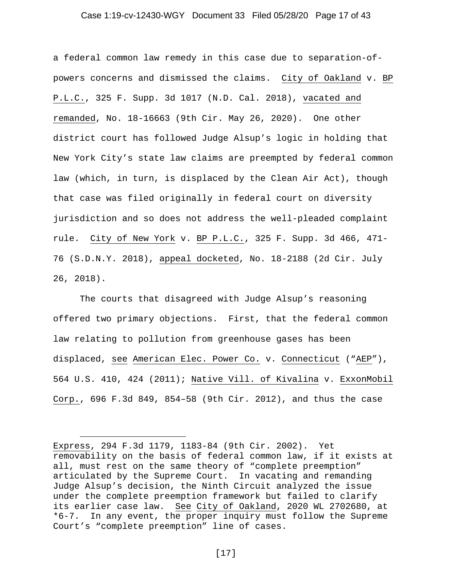#### Case 1:19-cv-12430-WGY Document 33 Filed 05/28/20 Page 17 of 43

a federal common law remedy in this case due to separation-ofpowers concerns and dismissed the claims. City of Oakland v. BP P.L.C., 325 F. Supp. 3d 1017 (N.D. Cal. 2018), vacated and remanded, No. 18-16663 (9th Cir. May 26, 2020). One other district court has followed Judge Alsup's logic in holding that New York City's state law claims are preempted by federal common law (which, in turn, is displaced by the Clean Air Act), though that case was filed originally in federal court on diversity jurisdiction and so does not address the well-pleaded complaint rule. City of New York v. BP P.L.C., 325 F. Supp. 3d 466, 471- 76 (S.D.N.Y. 2018), appeal docketed, No. 18-2188 (2d Cir. July 26, 2018).

The courts that disagreed with Judge Alsup's reasoning offered two primary objections. First, that the federal common law relating to pollution from greenhouse gases has been displaced, see American Elec. Power Co. v. Connecticut ("AEP"), 564 U.S. 410, 424 (2011); Native Vill. of Kivalina v. ExxonMobil Corp., 696 F.3d 849, 854–58 (9th Cir. 2012), and thus the case

Express, 294 F.3d 1179, 1183-84 (9th Cir. 2002). Yet removability on the basis of federal common law, if it exists at all, must rest on the same theory of "complete preemption" articulated by the Supreme Court. In vacating and remanding Judge Alsup's decision, the Ninth Circuit analyzed the issue under the complete preemption framework but failed to clarify its earlier case law. See City of Oakland, 2020 WL 2702680, at \*6-7. In any event, the proper inquiry must follow the Supreme Court's "complete preemption" line of cases.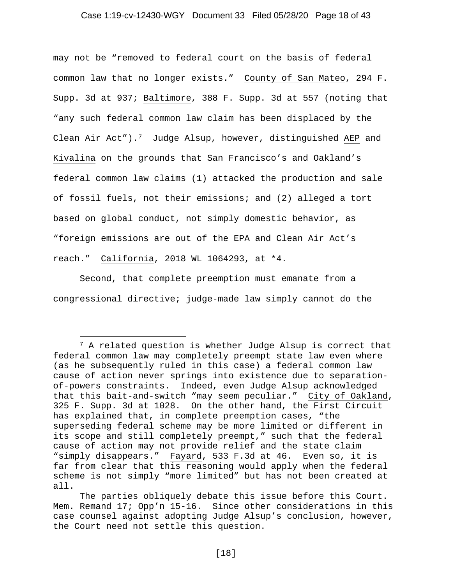#### Case 1:19-cv-12430-WGY Document 33 Filed 05/28/20 Page 18 of 43

may not be "removed to federal court on the basis of federal common law that no longer exists." County of San Mateo, 294 F. Supp. 3d at 937; Baltimore, 388 F. Supp. 3d at 557 (noting that "any such federal common law claim has been displaced by the Clean Air Act").<sup>7</sup> Judge Alsup, however, distinguished AEP and Kivalina on the grounds that San Francisco's and Oakland's federal common law claims (1) attacked the production and sale of fossil fuels, not their emissions; and (2) alleged a tort based on global conduct, not simply domestic behavior, as "foreign emissions are out of the EPA and Clean Air Act's reach." California, 2018 WL 1064293, at \*4.

Second, that complete preemption must emanate from a congressional directive; judge-made law simply cannot do the

<span id="page-17-0"></span><sup>7</sup> A related question is whether Judge Alsup is correct that federal common law may completely preempt state law even where (as he subsequently ruled in this case) a federal common law cause of action never springs into existence due to separationof-powers constraints. Indeed, even Judge Alsup acknowledged that this bait-and-switch "may seem peculiar." City of Oakland, 325 F. Supp. 3d at 1028. On the other hand, the First Circuit has explained that, in complete preemption cases, "the superseding federal scheme may be more limited or different in its scope and still completely preempt," such that the federal cause of action may not provide relief and the state claim "simply disappears." Fayard, 533 F.3d at 46. Even so, it is far from clear that this reasoning would apply when the federal scheme is not simply "more limited" but has not been created at all.

The parties obliquely debate this issue before this Court. Mem. Remand 17; Opp'n 15-16. Since other considerations in this case counsel against adopting Judge Alsup's conclusion, however, the Court need not settle this question.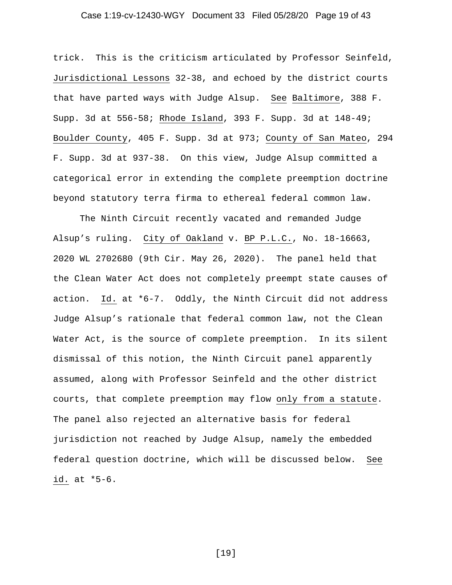# Case 1:19-cv-12430-WGY Document 33 Filed 05/28/20 Page 19 of 43

trick. This is the criticism articulated by Professor Seinfeld, Jurisdictional Lessons 32-38, and echoed by the district courts that have parted ways with Judge Alsup. See Baltimore, 388 F. Supp. 3d at 556-58; Rhode Island, 393 F. Supp. 3d at 148-49; Boulder County, 405 F. Supp. 3d at 973; County of San Mateo, 294 F. Supp. 3d at 937-38. On this view, Judge Alsup committed a categorical error in extending the complete preemption doctrine beyond statutory terra firma to ethereal federal common law.

The Ninth Circuit recently vacated and remanded Judge Alsup's ruling. City of Oakland v. BP P.L.C., No. 18-16663, 2020 WL 2702680 (9th Cir. May 26, 2020). The panel held that the Clean Water Act does not completely preempt state causes of action. Id. at \*6-7. Oddly, the Ninth Circuit did not address Judge Alsup's rationale that federal common law, not the Clean Water Act, is the source of complete preemption. In its silent dismissal of this notion, the Ninth Circuit panel apparently assumed, along with Professor Seinfeld and the other district courts, that complete preemption may flow only from a statute. The panel also rejected an alternative basis for federal jurisdiction not reached by Judge Alsup, namely the embedded federal question doctrine, which will be discussed below. See id. at \*5-6.

[19]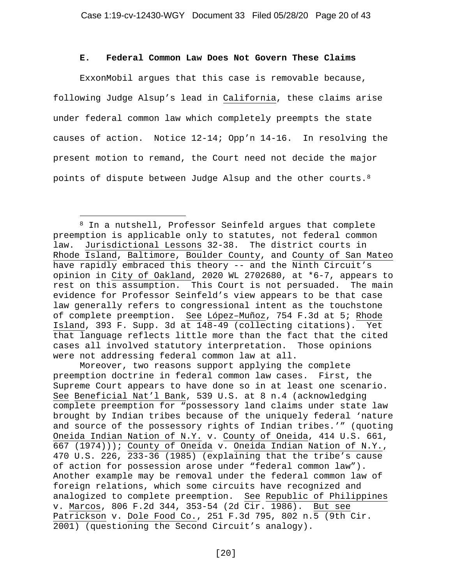# **E. Federal Common Law Does Not Govern These Claims**

ExxonMobil argues that this case is removable because, following Judge Alsup's lead in California, these claims arise under federal common law which completely preempts the state causes of action. Notice 12-14; Opp'n 14-16. In resolving the present motion to remand, the Court need not decide the major points of dispute between Judge Alsup and the other courts.[8](#page-19-0)

Moreover, two reasons support applying the complete preemption doctrine in federal common law cases. First, the Supreme Court appears to have done so in at least one scenario. See Beneficial Nat'l Bank, 539 U.S. at 8 n.4 (acknowledging complete preemption for "possessory land claims under state law brought by Indian tribes because of the uniquely federal 'nature and source of the possessory rights of Indian tribes.'" (quoting Oneida Indian Nation of N.Y. v. County of Oneida, 414 U.S. 661, 667 (1974))); County of Oneida v. Oneida Indian Nation of N.Y., 470 U.S. 226, 233-36 (1985) (explaining that the tribe's cause of action for possession arose under "federal common law"). Another example may be removal under the federal common law of foreign relations, which some circuits have recognized and analogized to complete preemption. See Republic of Philippines v. Marcos, 806 F.2d 344, 353-54 (2d Cir. 1986). But see Patrickson v. Dole Food Co., 251 F.3d 795, 802 n.5 (9th Cir. 2001) (questioning the Second Circuit's analogy).

<span id="page-19-0"></span><sup>8</sup> In a nutshell, Professor Seinfeld argues that complete preemption is applicable only to statutes, not federal common law. Jurisdictional Lessons 32-38. The district courts in Rhode Island, Baltimore, Boulder County, and County of San Mateo have rapidly embraced this theory -- and the Ninth Circuit's opinion in City of Oakland, 2020 WL 2702680, at \*6-7, appears to rest on this assumption. This Court is not persuaded. The main evidence for Professor Seinfeld's view appears to be that case law generally refers to congressional intent as the touchstone of complete preemption. See López–Muñoz, 754 F.3d at 5; Rhode Island, 393 F. Supp. 3d at 148-49 (collecting citations). Yet that language reflects little more than the fact that the cited cases all involved statutory interpretation. Those opinions were not addressing federal common law at all.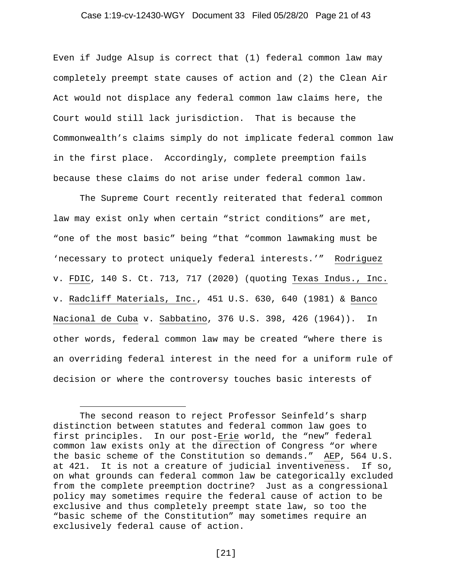#### Case 1:19-cv-12430-WGY Document 33 Filed 05/28/20 Page 21 of 43

Even if Judge Alsup is correct that (1) federal common law may completely preempt state causes of action and (2) the Clean Air Act would not displace any federal common law claims here, the Court would still lack jurisdiction. That is because the Commonwealth's claims simply do not implicate federal common law in the first place. Accordingly, complete preemption fails because these claims do not arise under federal common law.

The Supreme Court recently reiterated that federal common law may exist only when certain "strict conditions" are met, "one of the most basic" being "that "common lawmaking must be 'necessary to protect uniquely federal interests.'" Rodriguez v. FDIC, 140 S. Ct. 713, 717 (2020) (quoting Texas Indus., Inc. v. Radcliff Materials, Inc., 451 U.S. 630, 640 (1981) & Banco Nacional de Cuba v. Sabbatino, 376 U.S. 398, 426 (1964)). In other words, federal common law may be created "where there is an overriding federal interest in the need for a uniform rule of decision or where the controversy touches basic interests of

The second reason to reject Professor Seinfeld's sharp distinction between statutes and federal common law goes to first principles. In our post-Erie world, the "new" federal common law exists only at the direction of Congress "or where the basic scheme of the Constitution so demands." AEP, 564 U.S. at 421. It is not a creature of judicial inventiveness. If so, on what grounds can federal common law be categorically excluded from the complete preemption doctrine? Just as a congressional policy may sometimes require the federal cause of action to be exclusive and thus completely preempt state law, so too the "basic scheme of the Constitution" may sometimes require an exclusively federal cause of action.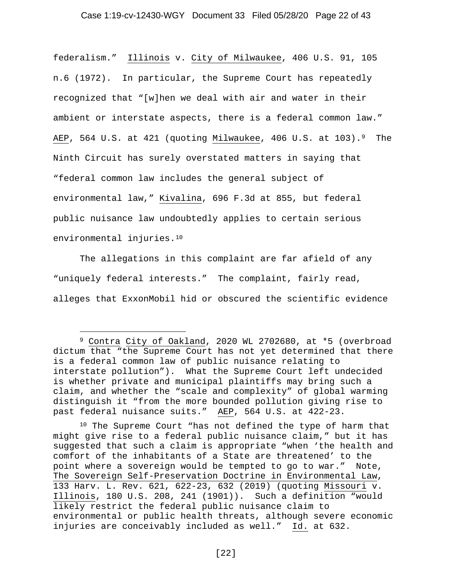# Case 1:19-cv-12430-WGY Document 33 Filed 05/28/20 Page 22 of 43

federalism." Illinois v. City of Milwaukee, 406 U.S. 91, 105 n.6 (1972). In particular, the Supreme Court has repeatedly recognized that "[w]hen we deal with air and water in their ambient or interstate aspects, there is a federal common law." AEP, 564 U.S. at 421 (quoting Milwaukee, 406 U.S. at 103).<sup>9</sup> The Ninth Circuit has surely overstated matters in saying that "federal common law includes the general subject of environmental law," Kivalina, 696 F.3d at 855, but federal public nuisance law undoubtedly applies to certain serious environmental injuries.<sup>10</sup>

The allegations in this complaint are far afield of any "uniquely federal interests." The complaint, fairly read, alleges that ExxonMobil hid or obscured the scientific evidence

<span id="page-21-0"></span><sup>9</sup> Contra City of Oakland, 2020 WL 2702680, at \*5 (overbroad dictum that "the Supreme Court has not yet determined that there is a federal common law of public nuisance relating to interstate pollution"). What the Supreme Court left undecided is whether private and municipal plaintiffs may bring such a claim, and whether the "scale and complexity" of global warming distinguish it "from the more bounded pollution giving rise to past federal nuisance suits." AEP, 564 U.S. at 422-23.

<span id="page-21-1"></span><sup>10</sup> The Supreme Court "has not defined the type of harm that might give rise to a federal public nuisance claim," but it has suggested that such a claim is appropriate "when 'the health and comfort of the inhabitants of a State are threatened' to the point where a sovereign would be tempted to go to war." Note, The Sovereign Self-Preservation Doctrine in Environmental Law, 133 Harv. L. Rev. 621, 622-23, 632 (2019) (quoting Missouri v. Illinois, 180 U.S. 208, 241 (1901)). Such a definition "would likely restrict the federal public nuisance claim to environmental or public health threats, although severe economic injuries are conceivably included as well." Id. at 632.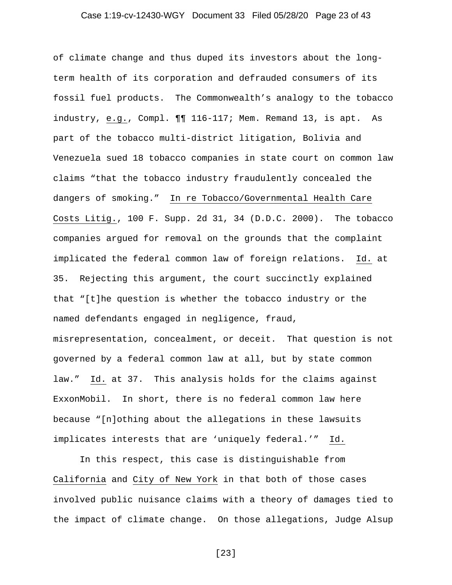# Case 1:19-cv-12430-WGY Document 33 Filed 05/28/20 Page 23 of 43

of climate change and thus duped its investors about the longterm health of its corporation and defrauded consumers of its fossil fuel products. The Commonwealth's analogy to the tobacco industry, e.g., Compl. ¶¶ 116-117; Mem. Remand 13, is apt. As part of the tobacco multi-district litigation, Bolivia and Venezuela sued 18 tobacco companies in state court on common law claims "that the tobacco industry fraudulently concealed the dangers of smoking." In re Tobacco/Governmental Health Care Costs Litig., 100 F. Supp. 2d 31, 34 (D.D.C. 2000). The tobacco companies argued for removal on the grounds that the complaint implicated the federal common law of foreign relations. Id. at 35. Rejecting this argument, the court succinctly explained that "[t]he question is whether the tobacco industry or the named defendants engaged in negligence, fraud, misrepresentation, concealment, or deceit. That question is not governed by a federal common law at all, but by state common law." Id. at 37. This analysis holds for the claims against ExxonMobil. In short, there is no federal common law here

because "[n]othing about the allegations in these lawsuits implicates interests that are 'uniquely federal.'" Id.

In this respect, this case is distinguishable from California and City of New York in that both of those cases involved public nuisance claims with a theory of damages tied to the impact of climate change. On those allegations, Judge Alsup

[23]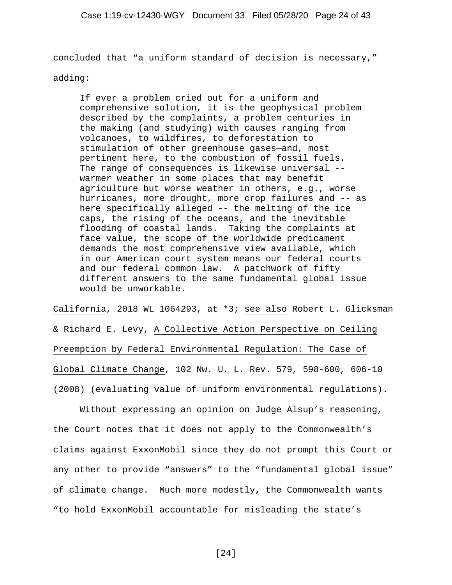concluded that "a uniform standard of decision is necessary,"

adding:

If ever a problem cried out for a uniform and comprehensive solution, it is the geophysical problem described by the complaints, a problem centuries in the making (and studying) with causes ranging from volcanoes, to wildfires, to deforestation to stimulation of other greenhouse gases—and, most pertinent here, to the combustion of fossil fuels. The range of consequences is likewise universal - warmer weather in some places that may benefit agriculture but worse weather in others, e.g., worse hurricanes, more drought, more crop failures and -- as here specifically alleged -- the melting of the ice caps, the rising of the oceans, and the inevitable flooding of coastal lands. Taking the complaints at face value, the scope of the worldwide predicament demands the most comprehensive view available, which in our American court system means our federal courts and our federal common law. A patchwork of fifty different answers to the same fundamental global issue would be unworkable.

California, 2018 WL 1064293, at \*3; see also Robert L. Glicksman & Richard E. Levy, A Collective Action Perspective on Ceiling Preemption by Federal Environmental Regulation: The Case of Global Climate Change, 102 Nw. U. L. Rev. 579, 598-600, 606-10 (2008) (evaluating value of uniform environmental regulations).

Without expressing an opinion on Judge Alsup's reasoning, the Court notes that it does not apply to the Commonwealth's claims against ExxonMobil since they do not prompt this Court or any other to provide "answers" to the "fundamental global issue" of climate change. Much more modestly, the Commonwealth wants "to hold ExxonMobil accountable for misleading the state's

[24]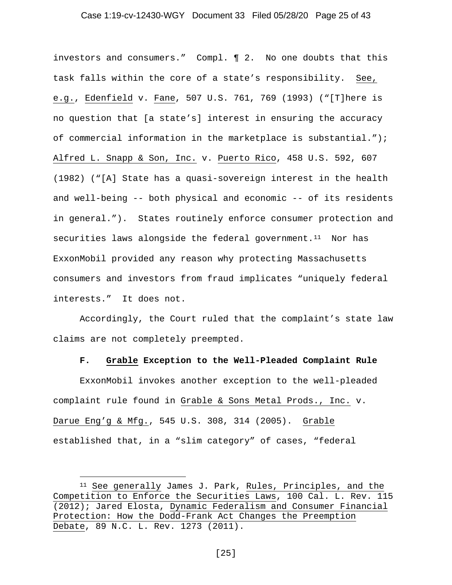#### Case 1:19-cv-12430-WGY Document 33 Filed 05/28/20 Page 25 of 43

investors and consumers." Compl. ¶ 2. No one doubts that this task falls within the core of a state's responsibility. See, e.g., Edenfield v. Fane, 507 U.S. 761, 769 (1993) ("[T]here is no question that [a state's] interest in ensuring the accuracy of commercial information in the marketplace is substantial."); Alfred L. Snapp & Son, Inc. v. Puerto Rico, 458 U.S. 592, 607 (1982) ("[A] State has a quasi-sovereign interest in the health and well-being -- both physical and economic -- of its residents in general."). States routinely enforce consumer protection and securities laws alongside the federal government. $11$  Nor has ExxonMobil provided any reason why protecting Massachusetts consumers and investors from fraud implicates "uniquely federal interests." It does not.

Accordingly, the Court ruled that the complaint's state law claims are not completely preempted.

#### **F. Grable Exception to the Well-Pleaded Complaint Rule**

ExxonMobil invokes another exception to the well-pleaded complaint rule found in Grable & Sons Metal Prods., Inc. v. Darue Eng'g & Mfg., 545 U.S. 308, 314 (2005). Grable established that, in a "slim category" of cases, "federal

<span id="page-24-0"></span><sup>11</sup> See generally James J. Park, Rules, Principles, and the Competition to Enforce the Securities Laws, 100 Cal. L. Rev. 115 (2012); Jared Elosta, Dynamic Federalism and Consumer Financial Protection: How the Dodd-Frank Act Changes the Preemption Debate, 89 N.C. L. Rev. 1273 (2011).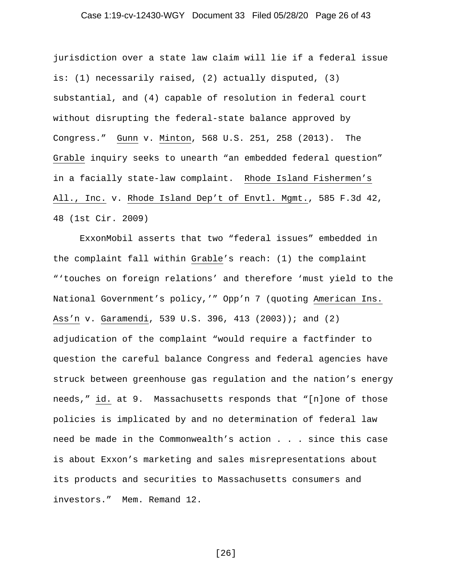# Case 1:19-cv-12430-WGY Document 33 Filed 05/28/20 Page 26 of 43

jurisdiction over a state law claim will lie if a federal issue is: (1) necessarily raised, (2) actually disputed, (3) substantial, and (4) capable of resolution in federal court without disrupting the federal-state balance approved by Congress." Gunn v. Minton, 568 U.S. 251, 258 (2013). The Grable inquiry seeks to unearth "an embedded federal question" in a facially state-law complaint. Rhode Island Fishermen's All., Inc. v. Rhode Island Dep't of Envtl. Mgmt., 585 F.3d 42, 48 (1st Cir. 2009)

ExxonMobil asserts that two "federal issues" embedded in the complaint fall within Grable's reach: (1) the complaint "'touches on foreign relations' and therefore 'must yield to the National Government's policy,'" Opp'n 7 (quoting American Ins. Ass'n v. Garamendi, 539 U.S. 396, 413 (2003)); and (2) adjudication of the complaint "would require a factfinder to question the careful balance Congress and federal agencies have struck between greenhouse gas regulation and the nation's energy needs," id. at 9. Massachusetts responds that "[n]one of those policies is implicated by and no determination of federal law need be made in the Commonwealth's action . . . since this case is about Exxon's marketing and sales misrepresentations about its products and securities to Massachusetts consumers and investors." Mem. Remand 12.

[26]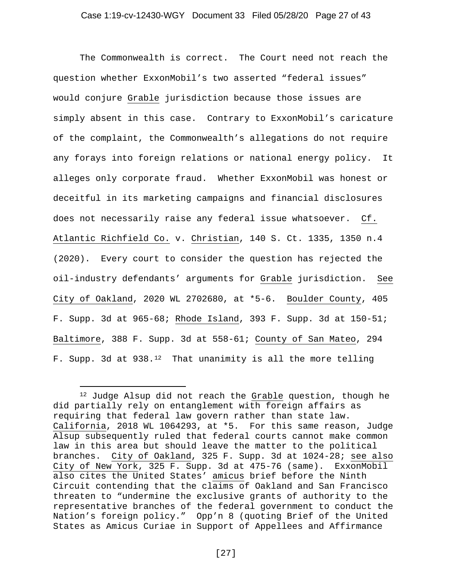The Commonwealth is correct. The Court need not reach the question whether ExxonMobil's two asserted "federal issues" would conjure Grable jurisdiction because those issues are simply absent in this case. Contrary to ExxonMobil's caricature of the complaint, the Commonwealth's allegations do not require any forays into foreign relations or national energy policy. It alleges only corporate fraud. Whether ExxonMobil was honest or deceitful in its marketing campaigns and financial disclosures does not necessarily raise any federal issue whatsoever. Cf. Atlantic Richfield Co. v. Christian, 140 S. Ct. 1335, 1350 n.4 (2020). Every court to consider the question has rejected the oil-industry defendants' arguments for Grable jurisdiction. See City of Oakland, 2020 WL 2702680, at \*5-6. Boulder County, 405 F. Supp. 3d at 965-68; Rhode Island, 393 F. Supp. 3d at 150-51; Baltimore, 388 F. Supp. 3d at 558-61; County of San Mateo, 294 F. Supp. 3d at 938.<sup>12</sup> That unanimity is all the more telling

<span id="page-26-0"></span><sup>&</sup>lt;sup>12</sup> Judge Alsup did not reach the Grable question, though he did partially rely on entanglement with foreign affairs as requiring that federal law govern rather than state law. California, 2018 WL 1064293, at \*5. For this same reason, Judge Alsup subsequently ruled that federal courts cannot make common law in this area but should leave the matter to the political branches. City of Oakland, 325 F. Supp. 3d at 1024-28; see also City of New York, 325 F. Supp. 3d at 475-76 (same). ExxonMobil also cites the United States' amicus brief before the Ninth Circuit contending that the claims of Oakland and San Francisco threaten to "undermine the exclusive grants of authority to the representative branches of the federal government to conduct the Nation's foreign policy." Opp'n 8 (quoting Brief of the United States as Amicus Curiae in Support of Appellees and Affirmance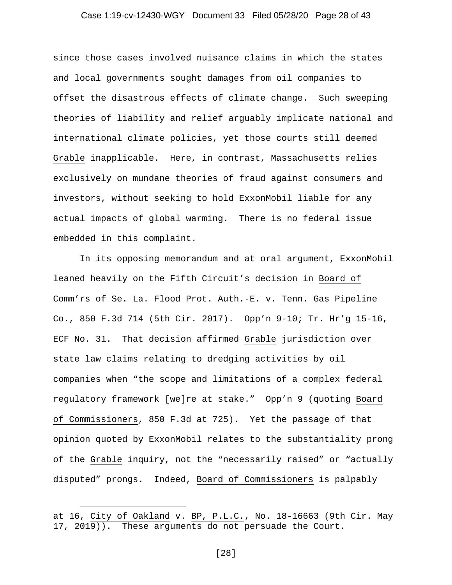# Case 1:19-cv-12430-WGY Document 33 Filed 05/28/20 Page 28 of 43

since those cases involved nuisance claims in which the states and local governments sought damages from oil companies to offset the disastrous effects of climate change. Such sweeping theories of liability and relief arguably implicate national and international climate policies, yet those courts still deemed Grable inapplicable. Here, in contrast, Massachusetts relies exclusively on mundane theories of fraud against consumers and investors, without seeking to hold ExxonMobil liable for any actual impacts of global warming. There is no federal issue embedded in this complaint.

In its opposing memorandum and at oral argument, ExxonMobil leaned heavily on the Fifth Circuit's decision in Board of Comm'rs of Se. La. Flood Prot. Auth.-E. v. Tenn. Gas Pipeline Co., 850 F.3d 714 (5th Cir. 2017). Opp'n 9-10; Tr. Hr'g 15-16, ECF No. 31. That decision affirmed Grable jurisdiction over state law claims relating to dredging activities by oil companies when "the scope and limitations of a complex federal regulatory framework [we]re at stake." Opp'n 9 (quoting Board of Commissioners, 850 F.3d at 725). Yet the passage of that opinion quoted by ExxonMobil relates to the substantiality prong of the Grable inquiry, not the "necessarily raised" or "actually disputed" prongs. Indeed, Board of Commissioners is palpably

at 16, City of Oakland v. BP, P.L.C., No. 18-16663 (9th Cir. May 17, 2019)). These arguments do not persuade the Court.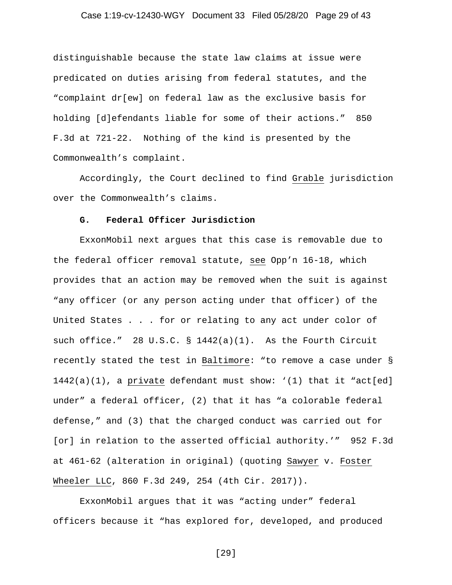# Case 1:19-cv-12430-WGY Document 33 Filed 05/28/20 Page 29 of 43

distinguishable because the state law claims at issue were predicated on duties arising from federal statutes, and the "complaint dr[ew] on federal law as the exclusive basis for holding [d]efendants liable for some of their actions." 850 F.3d at 721-22. Nothing of the kind is presented by the Commonwealth's complaint.

Accordingly, the Court declined to find Grable jurisdiction over the Commonwealth's claims.

#### **G. Federal Officer Jurisdiction**

ExxonMobil next argues that this case is removable due to the federal officer removal statute, see Opp'n 16-18, which provides that an action may be removed when the suit is against "any officer (or any person acting under that officer) of the United States . . . for or relating to any act under color of such office." 28 U.S.C. § 1442(a)(1). As the Fourth Circuit recently stated the test in Baltimore: "to remove a case under § 1442(a)(1), a private defendant must show: '(1) that it "act[ed] under" a federal officer, (2) that it has "a colorable federal defense," and (3) that the charged conduct was carried out for [or] in relation to the asserted official authority.'" 952 F.3d at 461-62 (alteration in original) (quoting Sawyer v. Foster Wheeler LLC, 860 F.3d 249, 254 (4th Cir. 2017)).

ExxonMobil argues that it was "acting under" federal officers because it "has explored for, developed, and produced

[29]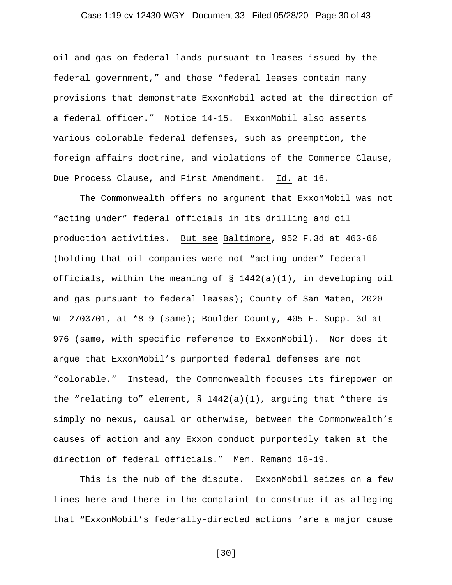# Case 1:19-cv-12430-WGY Document 33 Filed 05/28/20 Page 30 of 43

oil and gas on federal lands pursuant to leases issued by the federal government," and those "federal leases contain many provisions that demonstrate ExxonMobil acted at the direction of a federal officer." Notice 14-15. ExxonMobil also asserts various colorable federal defenses, such as preemption, the foreign affairs doctrine, and violations of the Commerce Clause, Due Process Clause, and First Amendment. Id. at 16.

The Commonwealth offers no argument that ExxonMobil was not "acting under" federal officials in its drilling and oil production activities. But see Baltimore, 952 F.3d at 463-66 (holding that oil companies were not "acting under" federal officials, within the meaning of § 1442(a)(1), in developing oil and gas pursuant to federal leases); County of San Mateo, 2020 WL 2703701, at \*8-9 (same); Boulder County, 405 F. Supp. 3d at 976 (same, with specific reference to ExxonMobil). Nor does it argue that ExxonMobil's purported federal defenses are not "colorable." Instead, the Commonwealth focuses its firepower on the "relating to" element,  $\S 1442(a)(1)$ , arguing that "there is simply no nexus, causal or otherwise, between the Commonwealth's causes of action and any Exxon conduct purportedly taken at the direction of federal officials." Mem. Remand 18-19.

This is the nub of the dispute. ExxonMobil seizes on a few lines here and there in the complaint to construe it as alleging that "ExxonMobil's federally-directed actions 'are a major cause

[30]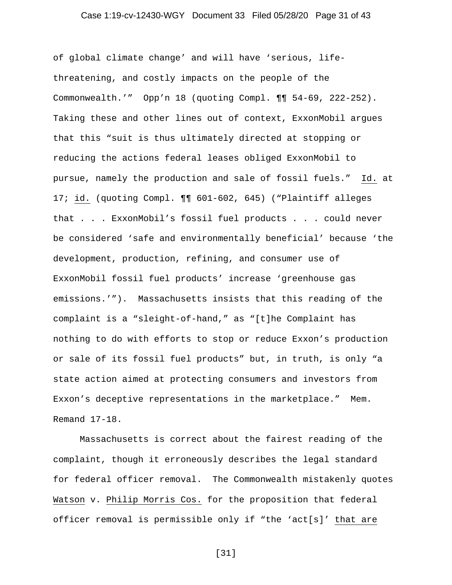# Case 1:19-cv-12430-WGY Document 33 Filed 05/28/20 Page 31 of 43

of global climate change' and will have 'serious, lifethreatening, and costly impacts on the people of the Commonwealth.'" Opp'n 18 (quoting Compl. ¶¶ 54-69, 222-252). Taking these and other lines out of context, ExxonMobil argues that this "suit is thus ultimately directed at stopping or reducing the actions federal leases obliged ExxonMobil to pursue, namely the production and sale of fossil fuels." Id. at 17; id. (quoting Compl. ¶¶ 601-602, 645) ("Plaintiff alleges that . . . ExxonMobil's fossil fuel products . . . could never be considered 'safe and environmentally beneficial' because 'the development, production, refining, and consumer use of ExxonMobil fossil fuel products' increase 'greenhouse gas emissions.'"). Massachusetts insists that this reading of the complaint is a "sleight-of-hand," as "[t]he Complaint has nothing to do with efforts to stop or reduce Exxon's production or sale of its fossil fuel products" but, in truth, is only "a state action aimed at protecting consumers and investors from Exxon's deceptive representations in the marketplace." Mem. Remand 17-18.

Massachusetts is correct about the fairest reading of the complaint, though it erroneously describes the legal standard for federal officer removal. The Commonwealth mistakenly quotes Watson v. Philip Morris Cos. for the proposition that federal officer removal is permissible only if "the 'act[s]' that are

[31]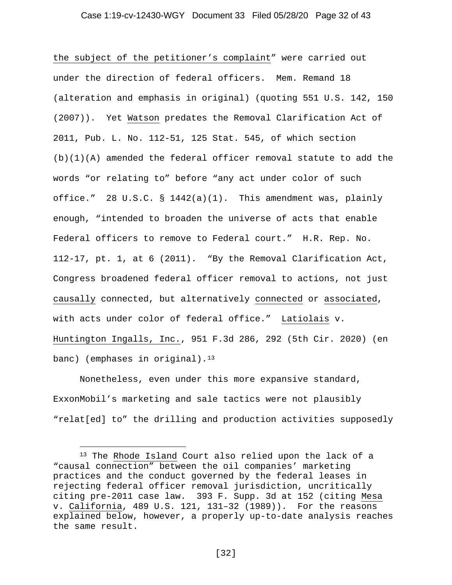#### Case 1:19-cv-12430-WGY Document 33 Filed 05/28/20 Page 32 of 43

the subject of the petitioner's complaint" were carried out under the direction of federal officers. Mem. Remand 18 (alteration and emphasis in original) (quoting 551 U.S. 142, 150 (2007)). Yet Watson predates the Removal Clarification Act of 2011, Pub. L. No. 112-51, 125 Stat. 545, of which section  $(b)(1)(A)$  amended the federal officer removal statute to add the words "or relating to" before "any act under color of such office." 28 U.S.C. §  $1442(a)(1)$ . This amendment was, plainly enough, "intended to broaden the universe of acts that enable Federal officers to remove to Federal court." H.R. Rep. No. 112-17, pt. 1, at 6 (2011). "By the Removal Clarification Act, Congress broadened federal officer removal to actions, not just causally connected, but alternatively connected or associated, with acts under color of federal office." Latiolais v. Huntington Ingalls, Inc., 951 F.3d 286, 292 (5th Cir. 2020) (en banc) (emphases in original).<sup>[13](#page-31-0)</sup>

Nonetheless, even under this more expansive standard, ExxonMobil's marketing and sale tactics were not plausibly "relat[ed] to" the drilling and production activities supposedly

<span id="page-31-0"></span><sup>13</sup> The Rhode Island Court also relied upon the lack of a "causal connection" between the oil companies' marketing practices and the conduct governed by the federal leases in rejecting federal officer removal jurisdiction, uncritically citing pre-2011 case law. 393 F. Supp. 3d at 152 (citing Mesa v. California, 489 U.S. 121, 131–32 (1989)). For the reasons explained below, however, a properly up-to-date analysis reaches the same result.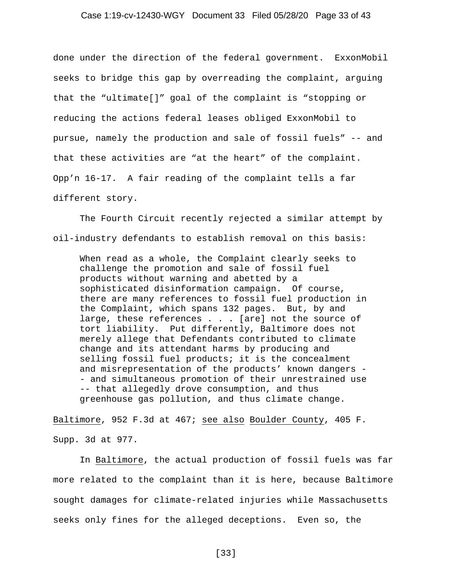#### Case 1:19-cv-12430-WGY Document 33 Filed 05/28/20 Page 33 of 43

done under the direction of the federal government. ExxonMobil seeks to bridge this gap by overreading the complaint, arguing that the "ultimate[]" goal of the complaint is "stopping or reducing the actions federal leases obliged ExxonMobil to pursue, namely the production and sale of fossil fuels" -- and that these activities are "at the heart" of the complaint. Opp'n 16-17. A fair reading of the complaint tells a far different story.

The Fourth Circuit recently rejected a similar attempt by oil-industry defendants to establish removal on this basis:

When read as a whole, the Complaint clearly seeks to challenge the promotion and sale of fossil fuel products without warning and abetted by a sophisticated disinformation campaign. Of course, there are many references to fossil fuel production in the Complaint, which spans 132 pages. But, by and large, these references . . . [are] not the source of tort liability. Put differently, Baltimore does not merely allege that Defendants contributed to climate change and its attendant harms by producing and selling fossil fuel products; it is the concealment and misrepresentation of the products' known dangers - - and simultaneous promotion of their unrestrained use -- that allegedly drove consumption, and thus greenhouse gas pollution, and thus climate change.

Baltimore, 952 F.3d at 467; see also Boulder County, 405 F. Supp. 3d at 977.

In Baltimore, the actual production of fossil fuels was far more related to the complaint than it is here, because Baltimore sought damages for climate-related injuries while Massachusetts seeks only fines for the alleged deceptions. Even so, the

[33]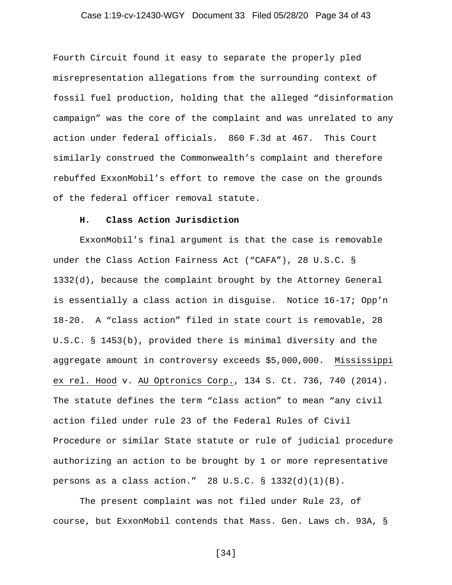# Case 1:19-cv-12430-WGY Document 33 Filed 05/28/20 Page 34 of 43

Fourth Circuit found it easy to separate the properly pled misrepresentation allegations from the surrounding context of fossil fuel production, holding that the alleged "disinformation campaign" was the core of the complaint and was unrelated to any action under federal officials. 860 F.3d at 467. This Court similarly construed the Commonwealth's complaint and therefore rebuffed ExxonMobil's effort to remove the case on the grounds of the federal officer removal statute.

#### **H. Class Action Jurisdiction**

ExxonMobil's final argument is that the case is removable under the Class Action Fairness Act ("CAFA"), 28 U.S.C. § 1332(d), because the complaint brought by the Attorney General is essentially a class action in disguise. Notice 16-17; Opp'n 18-20. A "class action" filed in state court is removable, 28 U.S.C. § 1453(b), provided there is minimal diversity and the aggregate amount in controversy exceeds \$5,000,000. Mississippi ex rel. Hood v. AU Optronics Corp., 134 S. Ct. 736, 740 (2014). The statute defines the term "class action" to mean "any civil action filed under rule 23 of the Federal Rules of Civil Procedure or similar State statute or rule of judicial procedure authorizing an action to be brought by 1 or more representative persons as a class action." 28 U.S.C.  $\S$  1332(d)(1)(B).

The present complaint was not filed under Rule 23, of course, but ExxonMobil contends that Mass. Gen. Laws ch. 93A, §

[34]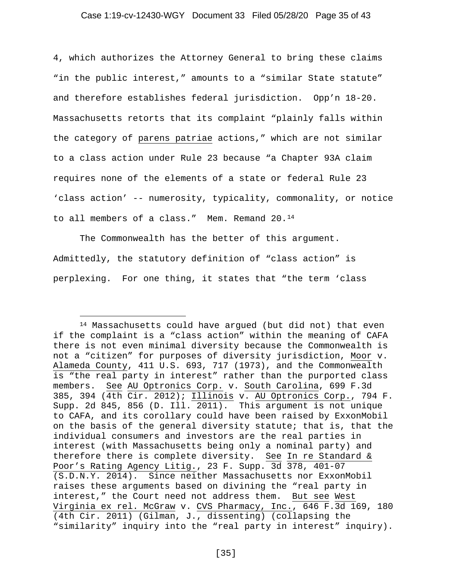#### Case 1:19-cv-12430-WGY Document 33 Filed 05/28/20 Page 35 of 43

4, which authorizes the Attorney General to bring these claims "in the public interest," amounts to a "similar State statute" and therefore establishes federal jurisdiction. Opp'n 18-20. Massachusetts retorts that its complaint "plainly falls within the category of parens patriae actions," which are not similar to a class action under Rule 23 because "a Chapter 93A claim requires none of the elements of a state or federal Rule 23 'class action' -- numerosity, typicality, commonality, or notice to all members of a class." Mem. Remand 20.[14](#page-34-0) 

The Commonwealth has the better of this argument. Admittedly, the statutory definition of "class action" is perplexing. For one thing, it states that "the term 'class

<span id="page-34-0"></span><sup>14</sup> Massachusetts could have argued (but did not) that even if the complaint is a "class action" within the meaning of CAFA there is not even minimal diversity because the Commonwealth is not a "citizen" for purposes of diversity jurisdiction, Moor v. Alameda County, 411 U.S. 693, 717 (1973), and the Commonwealth is "the real party in interest" rather than the purported class members. See AU Optronics Corp. v. South Carolina, 699 F.3d 385, 394 (4th Cir. 2012); Illinois v. AU Optronics Corp., 794 F. Supp. 2d 845, 856 (D. Ill. 2011). This argument is not unique to CAFA, and its corollary could have been raised by ExxonMobil on the basis of the general diversity statute; that is, that the individual consumers and investors are the real parties in interest (with Massachusetts being only a nominal party) and therefore there is complete diversity. See In re Standard & Poor's Rating Agency Litig., 23 F. Supp. 3d 378, 401-07 (S.D.N.Y. 2014). Since neither Massachusetts nor ExxonMobil raises these arguments based on divining the "real party in interest," the Court need not address them. But see West Virginia ex rel. McGraw v. CVS Pharmacy, Inc., 646 F.3d 169, 180 (4th Cir. 2011) (Gilman, J., dissenting) (collapsing the "similarity" inquiry into the "real party in interest" inquiry).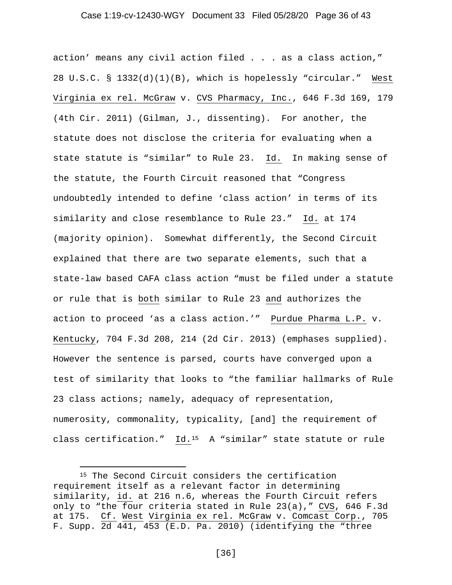#### Case 1:19-cv-12430-WGY Document 33 Filed 05/28/20 Page 36 of 43

action' means any civil action filed . . . as a class action," 28 U.S.C. § 1332(d)(1)(B), which is hopelessly "circular." West Virginia ex rel. McGraw v. CVS Pharmacy, Inc., 646 F.3d 169, 179 (4th Cir. 2011) (Gilman, J., dissenting). For another, the statute does not disclose the criteria for evaluating when a state statute is "similar" to Rule 23. Id. In making sense of the statute, the Fourth Circuit reasoned that "Congress undoubtedly intended to define 'class action' in terms of its similarity and close resemblance to Rule 23." Id. at 174 (majority opinion). Somewhat differently, the Second Circuit explained that there are two separate elements, such that a state-law based CAFA class action "must be filed under a statute or rule that is both similar to Rule 23 and authorizes the action to proceed 'as a class action.'" Purdue Pharma L.P. v. Kentucky, 704 F.3d 208, 214 (2d Cir. 2013) (emphases supplied). However the sentence is parsed, courts have converged upon a test of similarity that looks to "the familiar hallmarks of Rule 23 class actions; namely, adequacy of representation, numerosity, commonality, typicality, [and] the requirement of class certification." Id.[15](#page-35-0) A "similar" state statute or rule

<span id="page-35-0"></span><sup>&</sup>lt;sup>15</sup> The Second Circuit considers the certification requirement itself as a relevant factor in determining similarity, id. at 216 n.6, whereas the Fourth Circuit refers only to "the four criteria stated in Rule 23(a)," CVS, 646 F.3d at 175. Cf. West Virginia ex rel. McGraw v. Comcast Corp., 705 F. Supp. 2d 441, 453 (E.D. Pa. 2010) (identifying the "three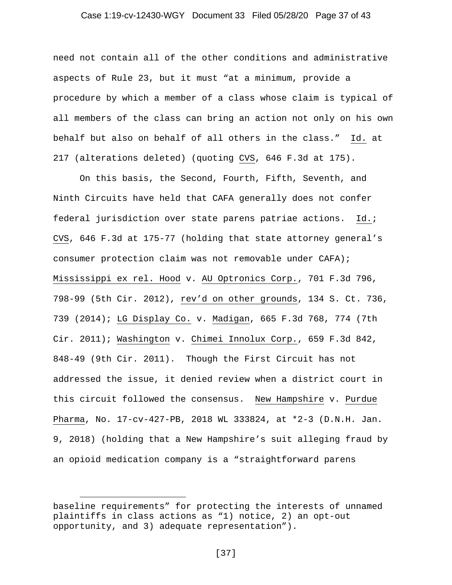#### Case 1:19-cv-12430-WGY Document 33 Filed 05/28/20 Page 37 of 43

need not contain all of the other conditions and administrative aspects of Rule 23, but it must "at a minimum, provide a procedure by which a member of a class whose claim is typical of all members of the class can bring an action not only on his own behalf but also on behalf of all others in the class." Id. at 217 (alterations deleted) (quoting CVS, 646 F.3d at 175).

On this basis, the Second, Fourth, Fifth, Seventh, and Ninth Circuits have held that CAFA generally does not confer federal jurisdiction over state parens patriae actions. Id.; CVS, 646 F.3d at 175-77 (holding that state attorney general's consumer protection claim was not removable under CAFA); Mississippi ex rel. Hood v. AU Optronics Corp., 701 F.3d 796, 798-99 (5th Cir. 2012), rev'd on other grounds, 134 S. Ct. 736, 739 (2014); LG Display Co. v. Madigan, 665 F.3d 768, 774 (7th Cir. 2011); Washington v. Chimei Innolux Corp., 659 F.3d 842, 848-49 (9th Cir. 2011). Though the First Circuit has not addressed the issue, it denied review when a district court in this circuit followed the consensus. New Hampshire v. Purdue Pharma, No. 17-cv-427-PB, 2018 WL 333824, at \*2-3 (D.N.H. Jan. 9, 2018) (holding that a New Hampshire's suit alleging fraud by an opioid medication company is a "straightforward parens

baseline requirements" for protecting the interests of unnamed plaintiffs in class actions as "1) notice, 2) an opt-out opportunity, and 3) adequate representation").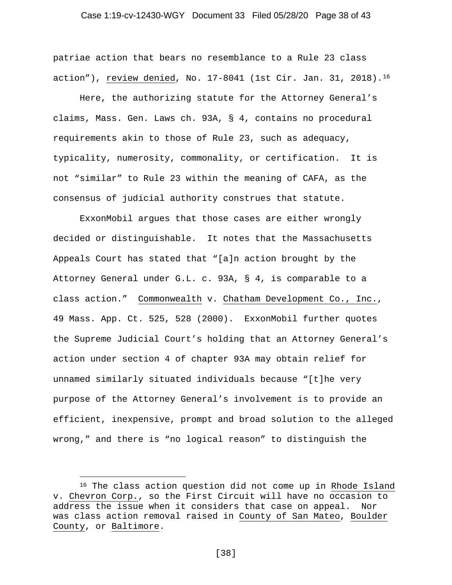# Case 1:19-cv-12430-WGY Document 33 Filed 05/28/20 Page 38 of 43

patriae action that bears no resemblance to a Rule 23 class action"), review denied, No.  $17-8041$  (1st Cir. Jan. 31, 2018).<sup>[16](#page-37-0)</sup>

Here, the authorizing statute for the Attorney General's claims, Mass. Gen. Laws ch. 93A, § 4, contains no procedural requirements akin to those of Rule 23, such as adequacy, typicality, numerosity, commonality, or certification. It is not "similar" to Rule 23 within the meaning of CAFA, as the consensus of judicial authority construes that statute.

ExxonMobil argues that those cases are either wrongly decided or distinguishable. It notes that the Massachusetts Appeals Court has stated that "[a]n action brought by the Attorney General under G.L. c. 93A, § 4, is comparable to a class action." Commonwealth v. Chatham Development Co., Inc., 49 Mass. App. Ct. 525, 528 (2000). ExxonMobil further quotes the Supreme Judicial Court's holding that an Attorney General's action under section 4 of chapter 93A may obtain relief for unnamed similarly situated individuals because "[t]he very purpose of the Attorney General's involvement is to provide an efficient, inexpensive, prompt and broad solution to the alleged wrong," and there is "no logical reason" to distinguish the

[38]

<span id="page-37-0"></span><sup>&</sup>lt;sup>16</sup> The class action question did not come up in Rhode Island v. Chevron Corp., so the First Circuit will have no occasion to address the issue when it considers that case on appeal. Nor was class action removal raised in County of San Mateo, Boulder County, or Baltimore.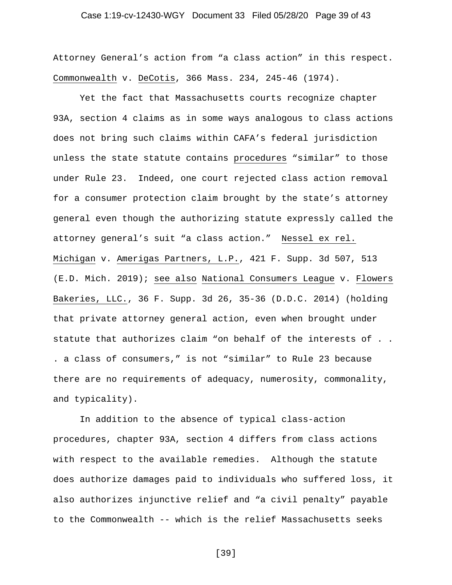# Case 1:19-cv-12430-WGY Document 33 Filed 05/28/20 Page 39 of 43

Attorney General's action from "a class action" in this respect. Commonwealth v. DeCotis, 366 Mass. 234, 245-46 (1974).

Yet the fact that Massachusetts courts recognize chapter 93A, section 4 claims as in some ways analogous to class actions does not bring such claims within CAFA's federal jurisdiction unless the state statute contains procedures "similar" to those under Rule 23. Indeed, one court rejected class action removal for a consumer protection claim brought by the state's attorney general even though the authorizing statute expressly called the attorney general's suit "a class action." Nessel ex rel. Michigan v. Amerigas Partners, L.P., 421 F. Supp. 3d 507, 513 (E.D. Mich. 2019); see also National Consumers League v. Flowers Bakeries, LLC., 36 F. Supp. 3d 26, 35-36 (D.D.C. 2014) (holding that private attorney general action, even when brought under statute that authorizes claim "on behalf of the interests of . . . a class of consumers," is not "similar" to Rule 23 because there are no requirements of adequacy, numerosity, commonality, and typicality).

In addition to the absence of typical class-action procedures, chapter 93A, section 4 differs from class actions with respect to the available remedies. Although the statute does authorize damages paid to individuals who suffered loss, it also authorizes injunctive relief and "a civil penalty" payable to the Commonwealth -- which is the relief Massachusetts seeks

[39]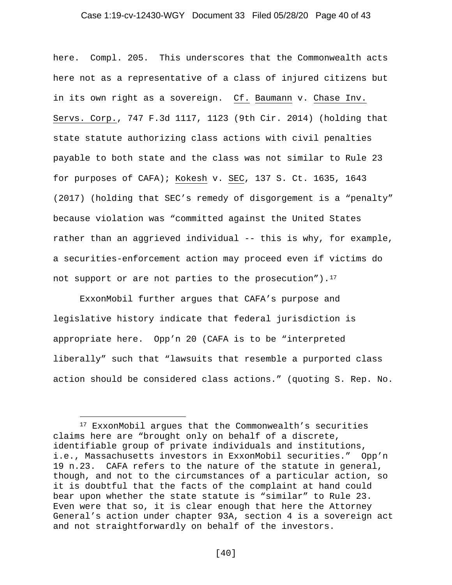# Case 1:19-cv-12430-WGY Document 33 Filed 05/28/20 Page 40 of 43

here. Compl. 205. This underscores that the Commonwealth acts here not as a representative of a class of injured citizens but in its own right as a sovereign. Cf. Baumann v. Chase Inv. Servs. Corp., 747 F.3d 1117, 1123 (9th Cir. 2014) (holding that state statute authorizing class actions with civil penalties payable to both state and the class was not similar to Rule 23 for purposes of CAFA); Kokesh v. SEC, 137 S. Ct. 1635, 1643 (2017) (holding that SEC's remedy of disgorgement is a "penalty" because violation was "committed against the United States rather than an aggrieved individual -- this is why, for example, a securities-enforcement action may proceed even if victims do not support or are not parties to the prosecution"). $17$ 

ExxonMobil further argues that CAFA's purpose and legislative history indicate that federal jurisdiction is appropriate here. Opp'n 20 (CAFA is to be "interpreted liberally" such that "lawsuits that resemble a purported class action should be considered class actions." (quoting S. Rep. No.

<span id="page-39-0"></span><sup>17</sup> ExxonMobil argues that the Commonwealth's securities claims here are "brought only on behalf of a discrete, identifiable group of private individuals and institutions, i.e., Massachusetts investors in ExxonMobil securities." Opp'n 19 n.23. CAFA refers to the nature of the statute in general, though, and not to the circumstances of a particular action, so it is doubtful that the facts of the complaint at hand could bear upon whether the state statute is "similar" to Rule 23. Even were that so, it is clear enough that here the Attorney General's action under chapter 93A, section 4 is a sovereign act and not straightforwardly on behalf of the investors.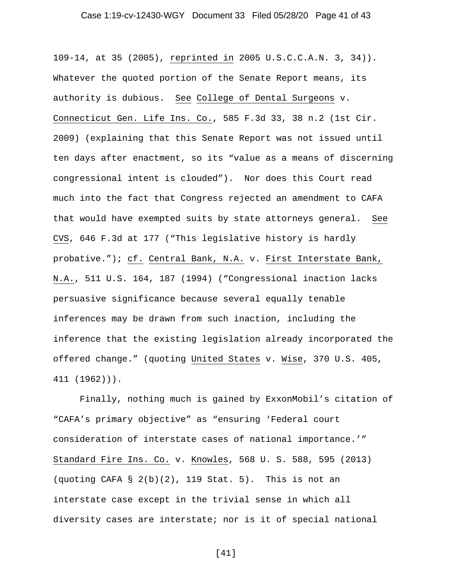# Case 1:19-cv-12430-WGY Document 33 Filed 05/28/20 Page 41 of 43

109-14, at 35 (2005), reprinted in 2005 U.S.C.C.A.N. 3, 34)). Whatever the quoted portion of the Senate Report means, its authority is dubious. See College of Dental Surgeons v. Connecticut Gen. Life Ins. Co., 585 F.3d 33, 38 n.2 (1st Cir. 2009) (explaining that this Senate Report was not issued until ten days after enactment, so its "value as a means of discerning congressional intent is clouded"). Nor does this Court read much into the fact that Congress rejected an amendment to CAFA that would have exempted suits by state attorneys general. See CVS, 646 F.3d at 177 ("This legislative history is hardly probative."); cf. Central Bank, N.A. v. First Interstate Bank, N.A., 511 U.S. 164, 187 (1994) ("Congressional inaction lacks persuasive significance because several equally tenable inferences may be drawn from such inaction, including the inference that the existing legislation already incorporated the offered change." (quoting United States v. Wise, 370 U.S. 405, 411 (1962))).

Finally, nothing much is gained by ExxonMobil's citation of "CAFA's primary objective" as "ensuring 'Federal court consideration of interstate cases of national importance.'" Standard Fire Ins. Co. v. Knowles, 568 U. S. 588, 595 (2013) (quoting CAFA  $\S 2(b)(2)$ , 119 Stat. 5). This is not an interstate case except in the trivial sense in which all diversity cases are interstate; nor is it of special national

[41]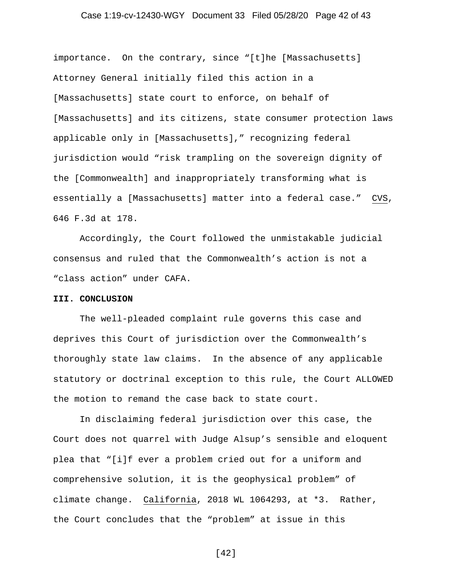# Case 1:19-cv-12430-WGY Document 33 Filed 05/28/20 Page 42 of 43

importance. On the contrary, since "[t]he [Massachusetts] Attorney General initially filed this action in a [Massachusetts] state court to enforce, on behalf of [Massachusetts] and its citizens, state consumer protection laws applicable only in [Massachusetts]," recognizing federal jurisdiction would "risk trampling on the sovereign dignity of the [Commonwealth] and inappropriately transforming what is essentially a [Massachusetts] matter into a federal case." CVS, 646 F.3d at 178.

Accordingly, the Court followed the unmistakable judicial consensus and ruled that the Commonwealth's action is not a "class action" under CAFA.

#### **III. CONCLUSION**

The well-pleaded complaint rule governs this case and deprives this Court of jurisdiction over the Commonwealth's thoroughly state law claims. In the absence of any applicable statutory or doctrinal exception to this rule, the Court ALLOWED the motion to remand the case back to state court.

In disclaiming federal jurisdiction over this case, the Court does not quarrel with Judge Alsup's sensible and eloquent plea that "[i]f ever a problem cried out for a uniform and comprehensive solution, it is the geophysical problem" of climate change. California, 2018 WL 1064293, at \*3. Rather, the Court concludes that the "problem" at issue in this

[42]